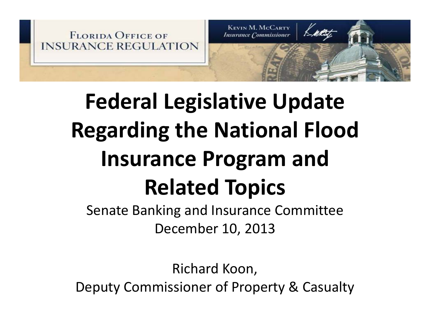

# **Federal Legislative Update Regarding the National Flood Insurance Program and Related Topics**

Senate Banking and Insurance Committee December 10, 2013

Richard Koon, Deputy Commissioner of Property & Casualty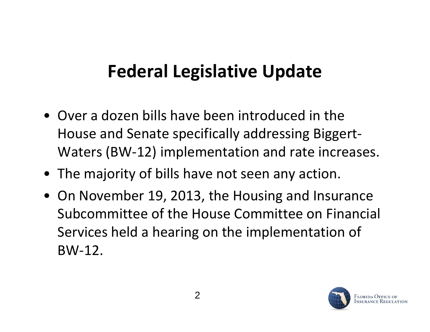#### **Federal Legislative Update**

- Over a dozen bills have been introduced in the House and Senate specifically addressing Biggert‐ Waters (BW‐12) implementation and rate increases.
- The majority of bills have not seen any action.
- On November 19, 2013, the Housing and Insurance Subcommittee of the House Committee on Financial Services held a hearing on the implementation of BW‐12.

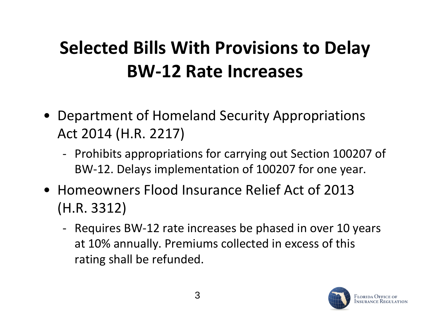# **Selected Bills With Provisions to Delay BW‐12 Rate Increases**

- Department of Homeland Security Appropriations Act 2014 (H.R. 2217)
	- ‐ Prohibits appropriations for carrying out Section 100207 of BW‐12. Delays implementation of 100207 for one year.
- Homeowners Flood Insurance Relief Act of 2013 (H.R. 3312)
	- Requires BW-12 rate increases be phased in over 10 years at 10% annually. Premiums collected in excess of this rating shall be refunded.

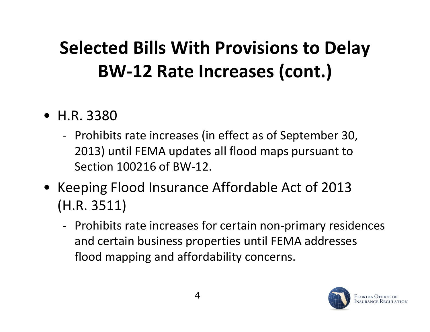# **Selected Bills With Provisions to Delay BW‐12 Rate Increases (cont.)**

- H.R. 3380
	- ‐ Prohibits rate increases (in effect as of September 30, 2013) until FEMA updates all flood maps pursuant to Section 100216 of BW‐12.
- Keeping Flood Insurance Affordable Act of 2013 (H.R. 3511)
	- ‐ Prohibits rate increases for certain non‐primary residences and certain business properties until FEMA addresses flood mapping and affordability concerns.

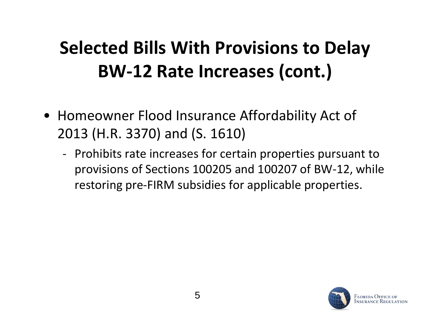# **Selected Bills With Provisions to Delay BW‐12 Rate Increases (cont.)**

- Homeowner Flood Insurance Affordability Act of 2013 (H.R. 3370) and (S. 1610)
	- ‐ Prohibits rate increases for certain properties pursuant to provisions of Sections 100205 and 100207 of BW‐12, while restoring pre-FIRM subsidies for applicable properties.

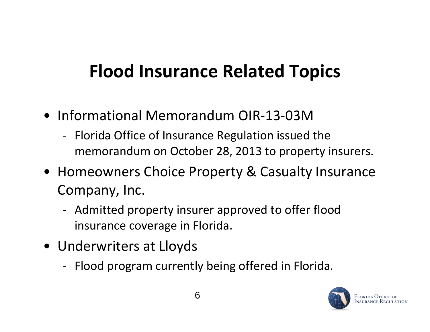# **Flood Insurance Related Topics**

- Informational Memorandum OIR‐13‐03M
	- ‐ Florida Office of Insurance Regulation issued the memorandum on October 28, 2013 to property insurers.
- Homeowners Choice Property & Casualty Insurance Company, Inc.
	- ‐ Admitted property insurer approved to offer flood insurance coverage in Florida.
- Underwriters at Lloyds
	- Flood program currently being offered in Florida.

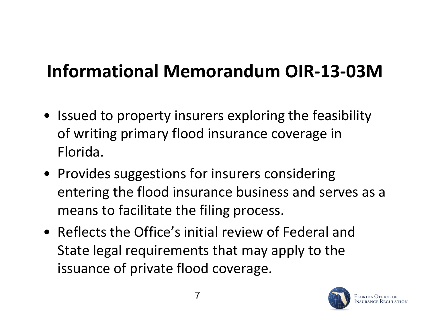### **Informational Memorandum OIR‐13‐03M**

- Issued to property insurers exploring the feasibility of writing primary flood insurance coverage in Florida.
- Provides suggestions for insurers considering entering the flood insurance business and serves as a means to facilitate the filing process.
- Reflects the Office's initial review of Federal and State legal requirements that may apply to the issuance of private flood coverage.

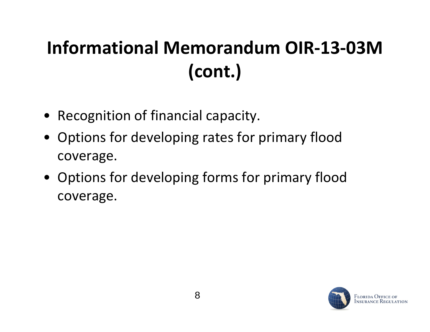# **Informational Memorandum OIR‐13‐03M(cont.)**

- Recognition of financial capacity.
- $\bullet$  Options for developing rates for primary flood coverage.
- Options for developing forms for primary flood coverage.

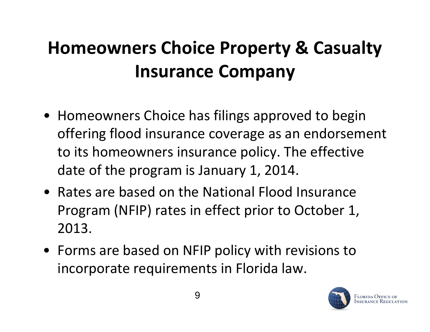# **Homeowners Choice Property & Casualty Insurance Company**

- Homeowners Choice has filings approved to begin offering flood insurance coverage as an endorsement to its homeowners insurance policy. The effective date of the program is January 1, 2014.
- $\bullet~$  Rates are based on the National Flood Insurance Program (NFIP) rates in effect prior to October 1, 2013.
- Forms are based on NFIP policy with revisions to incorporate requirements in Florida law.

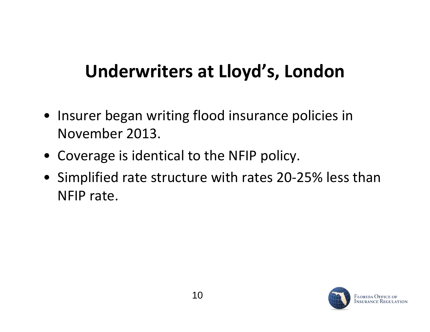#### **Underwriters at Lloyd's, London**

- Insurer began writing flood insurance policies in November 2013.
- Coverage is identical to the NFIP policy.
- Simplified rate structure with rates 20‐25% less than NFIP rate.